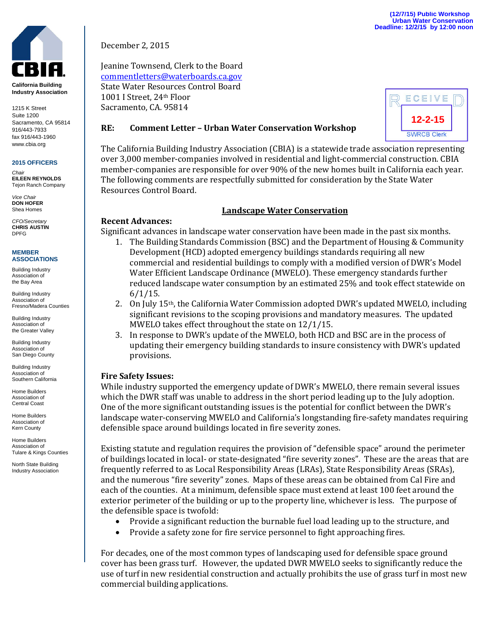

**California Building Industry Association**

1215 K Street Suite 1200 Sacramento, CA 95814 916/443-7933 fax 916/443-1960 www.cbia.org

# **2015 OFFICERS**

*Chair* **EILEEN REYNOLDS** Tejon Ranch Company

*Vice Chair* **DON HOFER** Shea Homes

*CFO/Secretary* **CHRIS AUSTIN** DPFG

#### **MEMBER ASSOCIATIONS**

Building Industry Association of the Bay Area

Building Industry Association of Fresno/Madera Counties

Building Industry Association of the Greater Valley

Building Industry Association of San Diego County

Building Industry Association of Southern California

Home Builders Association of Central Coast

Home Builders Association of Kern County

Home Builders Association of Tulare & Kings Counties

North State Building Industry Association December 2, 2015

Jeanine Townsend, Clerk to the Board [commentletters@waterboards.ca.gov](mailto:commentletters@waterboards.ca.gov) State Water Resources Control Board 1001 I Street, 24th Floor Sacramento, CA. 95814

ECEIVE **12-2-15SWRCB Clerk** 

#### **RE: Comment Letter – Urban Water Conservation Workshop**

The California Building Industry Association (CBIA) is a statewide trade association representing over 3,000 member-companies involved in residential and light-commercial construction. CBIA member-companies are responsible for over 90% of the new homes built in California each year. The following comments are respectfully submitted for consideration by the State Water Resources Control Board.

### **Landscape Water Conservation**

## **Recent Advances:**

Significant advances in landscape water conservation have been made in the past six months.

- 1. The Building Standards Commission (BSC) and the Department of Housing & Community Development (HCD) adopted emergency buildings standards requiring all new commercial and residential buildings to comply with a modified version of DWR's Model Water Efficient Landscape Ordinance (MWELO). These emergency standards further reduced landscape water consumption by an estimated 25% and took effect statewide on  $6/1/15$ .
- 2. On July 15th, the California Water Commission adopted DWR's updated MWELO, including significant revisions to the scoping provisions and mandatory measures. The updated MWELO takes effect throughout the state on 12/1/15.
- 3. In response to DWR's update of the MWELO, both HCD and BSC are in the process of updating their emergency building standards to insure consistency with DWR's updated provisions.

## **Fire Safety Issues:**

While industry supported the emergency update of DWR's MWELO, there remain several issues which the DWR staff was unable to address in the short period leading up to the July adoption. One of the more significant outstanding issues is the potential for conflict between the DWR's landscape water-conserving MWELO and California's longstanding fire-safety mandates requiring defensible space around buildings located in fire severity zones.

Existing statute and regulation requires the provision of "defensible space" around the perimeter of buildings located in local- or state-designated "fire severity zones". These are the areas that are frequently referred to as Local Responsibility Areas (LRAs), State Responsibility Areas (SRAs), and the numerous "fire severity" zones. Maps of these areas can be obtained from Cal Fire and each of the counties. At a minimum, defensible space must extend at least 100 feet around the exterior perimeter of the building or up to the property line, whichever is less. The purpose of the defensible space is twofold:

- Provide a significant reduction the burnable fuel load leading up to the structure, and
- Provide a safety zone for fire service personnel to fight approaching fires.

For decades, one of the most common types of landscaping used for defensible space ground cover has been grass turf. However, the updated DWR MWELO seeks to significantly reduce the use of turf in new residential construction and actually prohibits the use of grass turf in most new commercial building applications.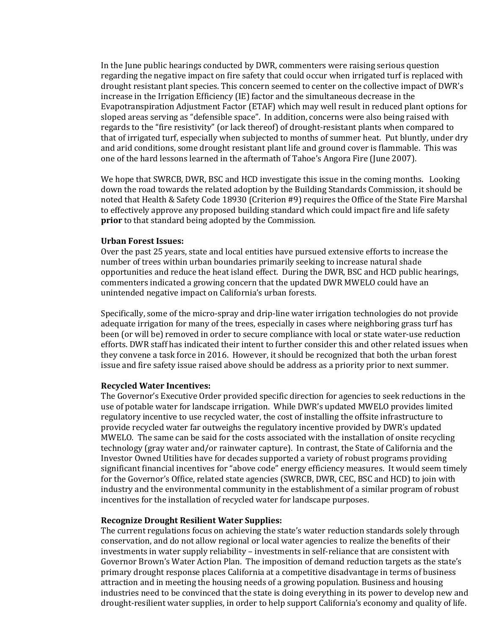In the June public hearings conducted by DWR, commenters were raising serious question regarding the negative impact on fire safety that could occur when irrigated turf is replaced with drought resistant plant species. This concern seemed to center on the collective impact of DWR's increase in the Irrigation Efficiency (IE) factor and the simultaneous decrease in the Evapotranspiration Adjustment Factor (ETAF) which may well result in reduced plant options for sloped areas serving as "defensible space". In addition, concerns were also being raised with regards to the "fire resistivity" (or lack thereof) of drought-resistant plants when compared to that of irrigated turf, especially when subjected to months of summer heat. Put bluntly, under dry and arid conditions, some drought resistant plant life and ground cover is flammable. This was one of the hard lessons learned in the aftermath of Tahoe's Angora Fire (June 2007).

We hope that SWRCB, DWR, BSC and HCD investigate this issue in the coming months. Looking down the road towards the related adoption by the Building Standards Commission, it should be noted that Health & Safety Code 18930 (Criterion #9) requires the Office of the State Fire Marshal to effectively approve any proposed building standard which could impact fire and life safety **prior** to that standard being adopted by the Commission.

#### **Urban Forest Issues:**

Over the past 25 years, state and local entities have pursued extensive efforts to increase the number of trees within urban boundaries primarily seeking to increase natural shade opportunities and reduce the heat island effect. During the DWR, BSC and HCD public hearings, commenters indicated a growing concern that the updated DWR MWELO could have an unintended negative impact on California's urban forests.

Specifically, some of the micro-spray and drip-line water irrigation technologies do not provide adequate irrigation for many of the trees, especially in cases where neighboring grass turf has been (or will be) removed in order to secure compliance with local or state water-use reduction efforts. DWR staff has indicated their intent to further consider this and other related issues when they convene a task force in 2016. However, it should be recognized that both the urban forest issue and fire safety issue raised above should be address as a priority prior to next summer.

#### **Recycled Water Incentives:**

The Governor's Executive Order provided specific direction for agencies to seek reductions in the use of potable water for landscape irrigation. While DWR's updated MWELO provides limited regulatory incentive to use recycled water, the cost of installing the offsite infrastructure to provide recycled water far outweighs the regulatory incentive provided by DWR's updated MWELO. The same can be said for the costs associated with the installation of onsite recycling technology (gray water and/or rainwater capture). In contrast, the State of California and the Investor Owned Utilities have for decades supported a variety of robust programs providing significant financial incentives for "above code" energy efficiency measures. It would seem timely for the Governor's Office, related state agencies (SWRCB, DWR, CEC, BSC and HCD) to join with industry and the environmental community in the establishment of a similar program of robust incentives for the installation of recycled water for landscape purposes.

#### **Recognize Drought Resilient Water Supplies:**

The current regulations focus on achieving the state's water reduction standards solely through conservation, and do not allow regional or local water agencies to realize the benefits of their investments in water supply reliability – investments in self-reliance that are consistent with Governor Brown's Water Action Plan. The imposition of demand reduction targets as the state's primary drought response places California at a competitive disadvantage in terms of business attraction and in meeting the housing needs of a growing population. Business and housing industries need to be convinced that the state is doing everything in its power to develop new and drought-resilient water supplies, in order to help support California's economy and quality of life.